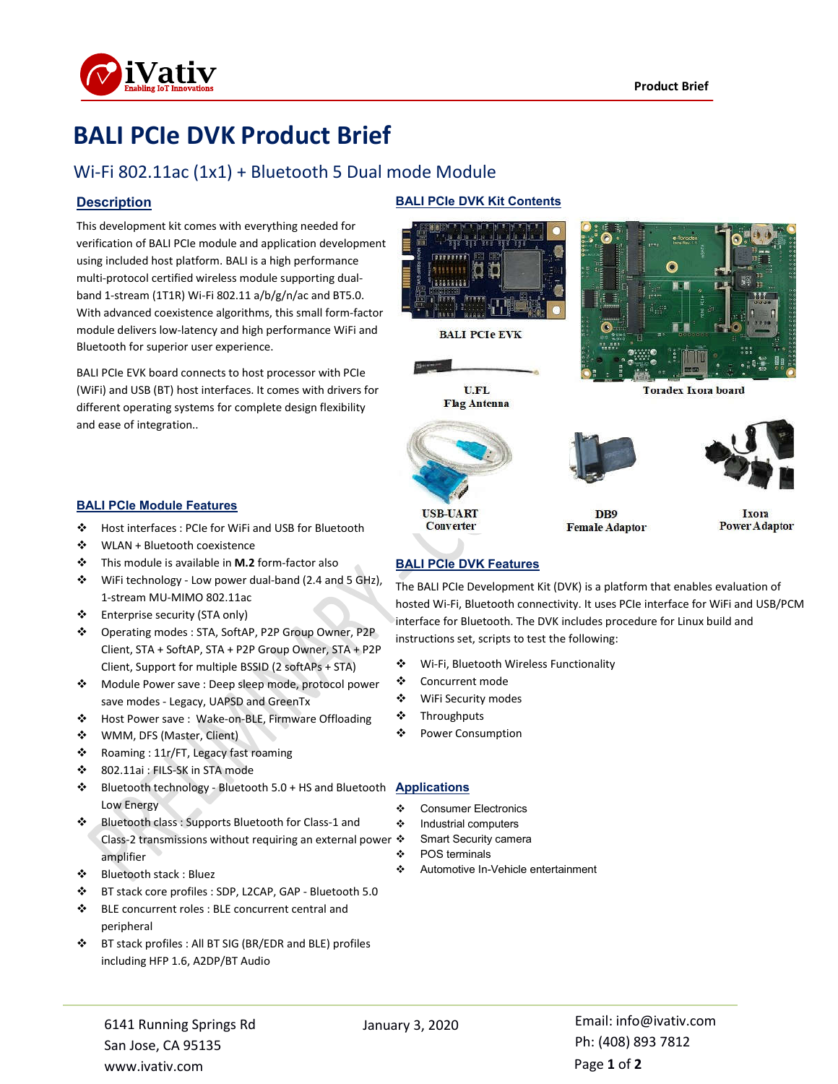

# **BALI PCIe DVK Product Brief**

## Wi-Fi 802.11ac (1x1) + Bluetooth 5 Dual mode Module

### **Description**

This development kit comes with everything needed for verification of BALI PCIe module and application development using included host platform. BALI is a high performance multi-protocol certified wireless module supporting dualband 1-stream (1T1R) Wi-Fi 802.11 a/b/g/n/ac and BT5.0. With advanced coexistence algorithms, this small form-factor module delivers low-latency and high performance WiFi and Bluetooth for superior user experience.

BALI PCIe EVK board connects to host processor with PCIe (WiFi) and USB (BT) host interfaces. It comes with drivers for different operating systems for complete design flexibility and ease of integration..

### **BALI PCIe Module Features**

- Host interfaces : PCIe for WiFi and USB for Bluetooth
- WLAN + Bluetooth coexistence
- This module is available in **M.2** form-factor also
- WiFi technology Low power dual-band (2.4 and 5 GHz), 1-stream MU-MIMO 802.11ac
- Enterprise security (STA only)
- Operating modes : STA, SoftAP, P2P Group Owner, P2P Client, STA + SoftAP, STA + P2P Group Owner, STA + P2P Client, Support for multiple BSSID (2 softAPs + STA)
- \* Module Power save : Deep sleep mode, protocol power save modes - Legacy, UAPSD and GreenTx
- Host Power save : Wake-on-BLE, Firmware Offloading
- WMM, DFS (Master, Client)
- \* Roaming : 11r/FT, Legacy fast roaming
- 802.11ai : FILS-SK in STA mode
- Bluetooth technology Bluetooth 5.0 + HS and Bluetooth **Applications** Low Energy
- Bluetooth class : Supports Bluetooth for Class-1 and Class-2 transmissions without requiring an external power  $\cdot$ amplifier
- Bluetooth stack : Bluez
- BT stack core profiles : SDP, L2CAP, GAP Bluetooth 5.0
- BLE concurrent roles : BLE concurrent central and peripheral
- BT stack profiles : All BT SIG (BR/EDR and BLE) profiles including HFP 1.6, A2DP/BT Audio

### **BALI PCIe DVK Kit Contents**



**BALI PCIe EVK** 







**Converter** 





**Toradex Ixora board** 

DB<sub>9</sub> **Female Adaptor** 

### Ixora **Power Adaptor**

### **BALI PCIe DVK Features**

The BALI PCIe Development Kit (DVK) is a platform that enables evaluation of hosted Wi-Fi, Bluetooth connectivity. It uses PCIe interface for WiFi and USB/PCM interface for Bluetooth. The DVK includes procedure for Linux build and instructions set, scripts to test the following:

- Wi-Fi, Bluetooth Wireless Functionality
- Concurrent mode
- WiFi Security modes
- Throughputs
- ❖ Power Consumption

- Consumer Electronics
- Industrial computers
	- Smart Security camera
- ❖ POS terminals
- Automotive In-Vehicle entertainment